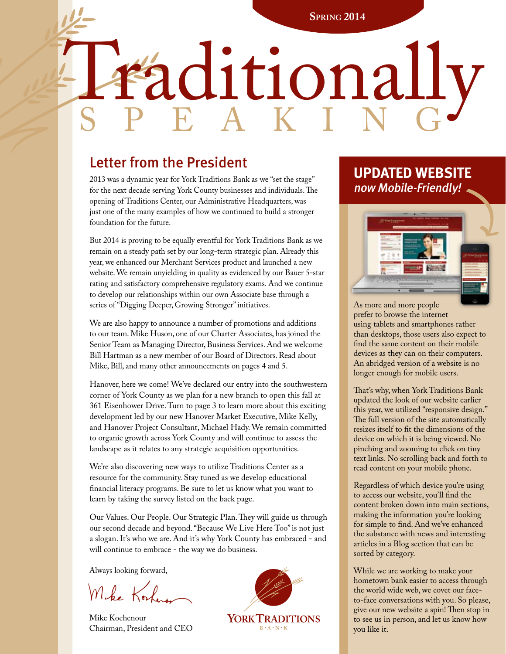l

# raditionally

# Letter from the President

2013 was a dynamic year for York Traditions Bank as we "set the stage" for the next decade serving York County businesses and individuals. The opening of Traditions Center, our Administrative Headquarters, was just one of the many examples of how we continued to build a stronger foundation for the future.

But 2014 is proving to be equally eventful for York Traditions Bank as we remain on a steady path set by our long-term strategic plan. Already this year, we enhanced our Merchant Services product and launched a new website. We remain unyielding in quality as evidenced by our Bauer 5-star rating and satisfactory comprehensive regulatory exams. And we continue to develop our relationships within our own Associate base through a series of "Digging Deeper, Growing Stronger" initiatives.

We are also happy to announce a number of promotions and additions to our team. Mike Huson, one of our Charter Associates, has joined the Senior Team as Managing Director, Business Services. And we welcome Bill Hartman as a new member of our Board of Directors. Read about Mike, Bill, and many other announcements on pages 4 and 5.

Hanover, here we come! We've declared our entry into the southwestern corner of York County as we plan for a new branch to open this fall at 361 Eisenhower Drive. Turn to page 3 to learn more about this exciting development led by our new Hanover Market Executive, Mike Kelly, and Hanover Project Consultant, Michael Hady. We remain committed to organic growth across York County and will continue to assess the landscape as it relates to any strategic acquisition opportunities.

We're also discovering new ways to utilize Traditions Center as a resource for the community. Stay tuned as we develop educational financial literacy programs. Be sure to let us know what you want to learn by taking the survey listed on the back page.

Our Values. Our People. Our Strategic Plan. They will guide us through our second decade and beyond. "Because We Live Here Too" is not just a slogan. It's who we are. And it's why York County has embraced - and will continue to embrace - the way we do business.

Always looking forward,

Mike Kork

Mike Kochenour Chairman, President and CEO



# **UPDATED WEBSITE**  now Mobile-Friendly!



As more and more people prefer to browse the internet using tablets and smartphones rather than desktops, those users also expect to find the same content on their mobile devices as they can on their computers. An abridged version of a website is no longer enough for mobile users.

That's why, when York Traditions Bank updated the look of our website earlier this year, we utilized "responsive design." The full version of the site automatically resizes itself to fit the dimensions of the device on which it is being viewed. No pinching and zooming to click on tiny text links. No scrolling back and forth to read content on your mobile phone.

Regardless of which device you're using to access our website, you'll find the content broken down into main sections, making the information you're looking for simple to find. And we've enhanced the substance with news and interesting articles in a Blog section that can be sorted by category.

While we are working to make your hometown bank easier to access through the world wide web, we covet our faceto-face conversations with you. So please, give our new website a spin! Then stop in to see us in person, and let us know how you like it.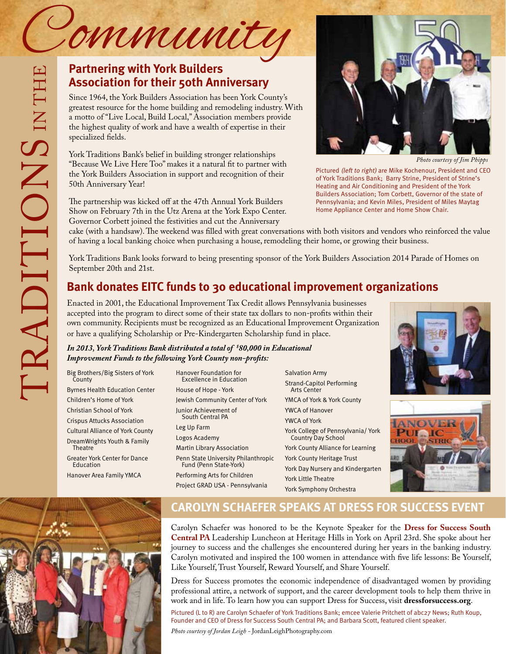## **Partnering with York Builders Association for their 50th Anniversary**

Since 1964, the York Builders Association has been York County's greatest resource for the home building and remodeling industry. With a motto of "Live Local, Build Local," Association members provide the highest quality of work and have a wealth of expertise in their specialized fields.

York Traditions Bank's belief in building stronger relationships "Because We Live Here Too" makes it a natural fit to partner with the York Builders Association in support and recognition of their 50th Anniversary Year!

The partnership was kicked off at the 47th Annual York Builders Show on February 7th in the Utz Arena at the York Expo Center. Governor Corbett joined the festivities and cut the Anniversary



*Photo courtesy of Jim Phipps* 

Pictured (left to right) are Mike Kochenour, President and CEO of York Traditions Bank; Barry Strine, President of Strine's Heating and Air Conditioning and President of the York Builders Association; Tom Corbett, Governor of the state of Pennsylvania; and Kevin Miles, President of Miles Maytag Home Appliance Center and Home Show Chair.

cake (with a handsaw). The weekend was filled with great conversations with both visitors and vendors who reinforced the value of having a local banking choice when purchasing a house, remodeling their home, or growing their business.

York Traditions Bank looks forward to being presenting sponsor of the York Builders Association 2014 Parade of Homes on September 20th and 21st.

## **Bank donates EITC funds to 30 educational improvement organizations**

Enacted in 2001, the Educational Improvement Tax Credit allows Pennsylvania businesses accepted into the program to direct some of their state tax dollars to non-profits within their own community. Recipients must be recognized as an Educational Improvement Organization or have a qualifying Scholarship or Pre-Kindergarten Scholarship fund in place.

### *In 2013, York Traditions Bank distributed a total of \$ 80,000 in Educational Improvement Funds to the following York County non-profits:*

Big Brothers/Big Sisters of York **County** 

Byrnes Health Education Center Children's Home of York Christian School of York Crispus Attucks Association Cultural Alliance of York County DreamWrights Youth & Family

**Theatre** Greater York Center for Dance

Education

Hanover Area Family YMCA



#### Hanover Foundation for Excellence in Education House of Hope - York Jewish Community Center of York Junior Achievement of South Central PA Leg Up Farm Logos Academy Martin Library Association Penn State University Philanthropic Fund (Penn State-York) Performing Arts for Children Project GRAD USA - Pennsylvania

Salvation Army Strand-Capitol Performing Arts Center YMCA of York & York County YWCA of Hanover YWCA of York York College of Pennsylvania/ York Country Day School York County Alliance for Learning York County Heritage Trust York Day Nursery and Kindergarten York Little Theatre York Symphony Orchestra





## **CAROLYN SCHAEFER SPEAKS AT DRESS FOR SUCCESS event**

Carolyn Schaefer was honored to be the Keynote Speaker for the **Dress for Success South Central PA** Leadership Luncheon at Heritage Hills in York on April 23rd. She spoke about her journey to success and the challenges she encountered during her years in the banking industry. Carolyn motivated and inspired the 100 women in attendance with five life lessons: Be Yourself, Like Yourself, Trust Yourself, Reward Yourself, and Share Yourself.

Dress for Success promotes the economic independence of disadvantaged women by providing professional attire, a network of support, and the career development tools to help them thrive in work and in life. To learn how you can support Dress for Success, visit **dressforsuccess.org**.

Pictured (L to R) are Carolyn Schaefer of York Traditions Bank; emcee Valerie Pritchett of abc27 News; Ruth Koup, Founder and CEO of Dress for Success South Central PA; and Barbara Scott, featured client speaker. *Photo courtesy of Jordan Leigh -* JordanLeighPhotography.com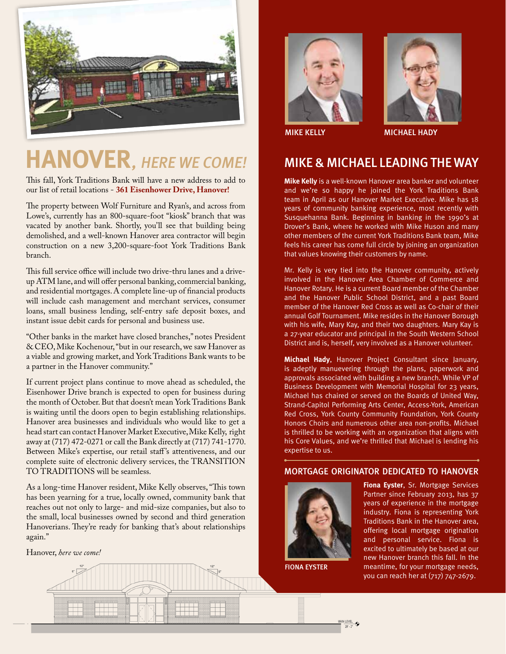

# **HANOVER, HERE WE COME!**

This fall, York Traditions Bank will have a new address to add to our list of retail locations - **361 Eisenhower Drive, Hanover!** 

The property between Wolf Furniture and Ryan's, and across from Lowe's, currently has an 800-square-foot "kiosk" branch that was vacated by another bank. Shortly, you'll see that building being demolished, and a well-known Hanover area contractor will begin construction on a new 3,200-square-foot York Traditions Bank branch.

This full service office will include two drive-thru lanes and a driveup ATM lane, and will offer personal banking, commercial banking, and residential mortgages. A complete line-up of financial products will include cash management and merchant services, consumer loans, small business lending, self-entry safe deposit boxes, and instant issue debit cards for personal and business use.

"Other banks in the market have closed branches," notes President & CEO, Mike Kochenour, "but in our research, we saw Hanover as a viable and growing market, and York Traditions Bank wants to be a partner in the Hanover community."

If current project plans continue to move ahead as scheduled, the Eisenhower Drive branch is expected to open for business during the month of October. But that doesn't mean York Traditions Bank is waiting until the doors open to begin establishing relationships. Hanover area businesses and individuals who would like to get a head start can contact Hanover Market Executive, Mike Kelly, right away at (717) 472-0271 or call the Bank directly at (717) 741-1770. Between Mike's expertise, our retail staff 's attentiveness, and our complete suite of electronic delivery services, the TRANSITION TO TRADITIONS will be seamless.

As a long-time Hanover resident, Mike Kelly observes, "This town has been yearning for a true, locally owned, community bank that reaches out not only to large- and mid-size companies, but also to the small, local businesses owned by second and third generation Hanoverians. They're ready for banking that's about relationships again."

Hanover, *here we come!*





mike kelly michael hady

## MIKE & MICHAEL LEADING THE WAY

**Mike Kelly** is a well-known Hanover area banker and volunteer and we're so happy he joined the York Traditions Bank team in April as our Hanover Market Executive. Mike has 18 years of community banking experience, most recently with Susquehanna Bank. Beginning in banking in the 1990's at Drover's Bank, where he worked with Mike Huson and many other members of the current York Traditions Bank team, Mike feels his career has come full circle by joining an organization that values knowing their customers by name.

Mr. Kelly is very tied into the Hanover community, actively involved in the Hanover Area Chamber of Commerce and Hanover Rotary. He is a current Board member of the Chamber and the Hanover Public School District, and a past Board member of the Hanover Red Cross as well as Co-chair of their annual Golf Tournament. Mike resides in the Hanover Borough with his wife, Mary Kay, and their two daughters. Mary Kay is a 27-year educator and principal in the South Western School District and is, herself, very involved as a Hanover volunteer.

**Michael Hady**, Hanover Project Consultant since January, is adeptly manuevering through the plans, paperwork and approvals associated with building a new branch. While VP of Business Development with Memorial Hospital for 23 years, Michael has chaired or served on the Boards of United Way, Strand-Capitol Performing Arts Center, Access-York, American Red Cross, York County Community Foundation, York County Honors Choirs and numerous other area non-profits. Michael is thrilled to be working with an organization that aligns with his Core Values, and we're thrilled that Michael is lending his expertise to us.

### MORTGAGE ORIGINATOR DEDICATED TO HANOVER



**Fiona Eyster**, Sr. Mortgage Services Partner since February 2013, has 37 years of experience in the mortgage industry. Fiona is representing York Traditions Bank in the Hanover area, offering local mortgage origination and personal service. Fiona is excited to ultimately be based at our new Hanover branch this fall. In the meantime, for your mortgage needs, you can reach her at (717) 747-2679.

fiona eyster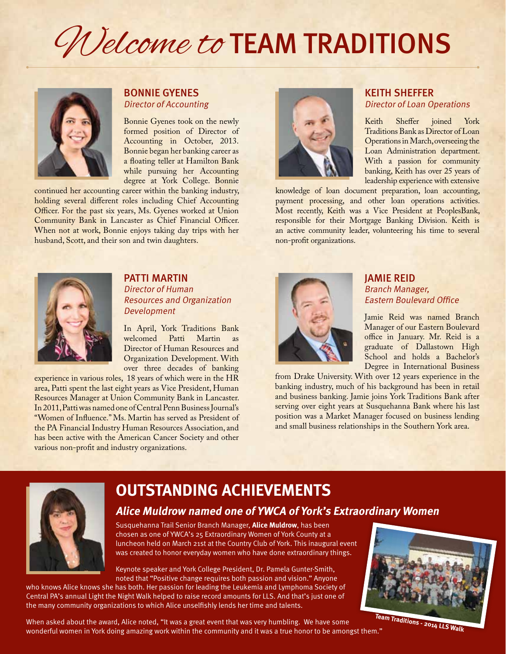# Welcome to TEAM TRADITIONS



## bonnie gyenes Director of Accounting

Bonnie Gyenes took on the newly formed position of Director of Accounting in October, 2013. Bonnie began her banking career as a floating teller at Hamilton Bank while pursuing her Accounting degree at York College. Bonnie

continued her accounting career within the banking industry, holding several different roles including Chief Accounting Officer. For the past six years, Ms. Gyenes worked at Union Community Bank in Lancaster as Chief Financial Officer. When not at work, Bonnie enjoys taking day trips with her husband, Scott, and their son and twin daughters.



## KEITH SHEFFER Director of Loan Operations

Keith Sheffer joined York Traditions Bank as Director of Loan Operations in March, overseeing the Loan Administration department. With a passion for community banking, Keith has over 25 years of leadership experience with extensive

knowledge of loan document preparation, loan accounting, payment processing, and other loan operations activities. Most recently, Keith was a Vice President at PeoplesBank, responsible for their Mortgage Banking Division. Keith is an active community leader, volunteering his time to several non-profit organizations.



## PATTI MARTIN Director of Human Resources and Organization Development

In April, York Traditions Bank welcomed Patti Martin as Director of Human Resources and Organization Development. With over three decades of banking

experience in various roles, 18 years of which were in the HR area, Patti spent the last eight years as Vice President, Human Resources Manager at Union Community Bank in Lancaster. In 2011, Patti was named one of Central Penn Business Journal's "Women of Influence." Ms. Martin has served as President of the PA Financial Industry Human Resources Association, and has been active with the American Cancer Society and other various non-profit and industry organizations.



## JAMIE REID Branch Manager, Eastern Boulevard Office

Jamie Reid was named Branch Manager of our Eastern Boulevard office in January. Mr. Reid is a graduate of Dallastown High School and holds a Bachelor's Degree in International Business

from Drake University. With over 12 years experience in the banking industry, much of his background has been in retail and business banking. Jamie joins York Traditions Bank after serving over eight years at Susquehanna Bank where his last position was a Market Manager focused on business lending and small business relationships in the Southern York area.



# **outstanding achievements**

## **Alice Muldrow named one of YWCA of York's Extraordinary Women**

Susquehanna Trail Senior Branch Manager, **Alice Muldrow**, has been chosen as one of YWCA's 25 Extraordinary Women of York County at a luncheon held on March 21st at the Country Club of York. This inaugural event was created to honor everyday women who have done extraordinary things.

Keynote speaker and York College President, Dr. Pamela Gunter-Smith, noted that "Positive change requires both passion and vision." Anyone

who knows Alice knows she has both. Her passion for leading the Leukemia and Lymphoma Society of Central PA's annual Light the Night Walk helped to raise record amounts for LLS. And that's just one of the many community organizations to which Alice unselfishly lends her time and talents.

When asked about the award, Alice noted, "It was a great event that was very humbling. We have some wonderful women in York doing amazing work within the community and it was a true honor to be amongst them."

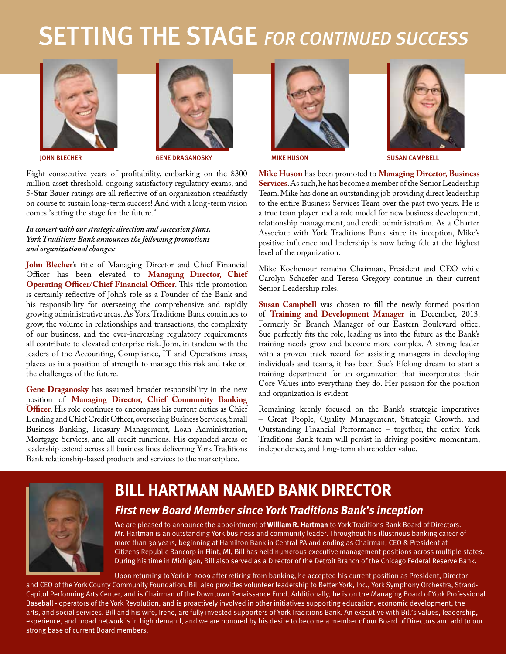# SETTING THE STAGE FOR CONTINUED SUCCESS



Eight consecutive years of profitability, embarking on the \$300 million asset threshold, ongoing satisfactory regulatory exams, and 5-Star Bauer ratings are all reflective of an organization steadfastly on course to sustain long-term success! And with a long-term vision comes "setting the stage for the future."

#### *In concert with our strategic direction and succession plans, York Traditions Bank announces the following promotions and organizational changes:*

**John Blecher**'s title of Managing Director and Chief Financial Officer has been elevated to **Managing Director, Chief Operating Officer/Chief Financial Officer**. This title promotion is certainly reflective of John's role as a Founder of the Bank and his responsibility for overseeing the comprehensive and rapidly growing administrative areas. As York Traditions Bank continues to grow, the volume in relationships and transactions, the complexity of our business, and the ever-increasing regulatory requirements all contribute to elevated enterprise risk. John, in tandem with the leaders of the Accounting, Compliance, IT and Operations areas, places us in a position of strength to manage this risk and take on the challenges of the future.

**Gene Draganosky** has assumed broader responsibility in the new position of **Managing Director, Chief Community Banking Officer**. His role continues to encompass his current duties as Chief Lending and Chief Credit Officer, overseeing Business Services, Small Business Banking, Treasury Management, Loan Administration, Mortgage Services, and all credit functions. His expanded areas of leadership extend across all business lines delivering York Traditions Bank relationship-based products and services to the marketplace.







John Blecher Gene Draganosky Mike Huson Susan Campbell

**Mike Huson** has been promoted to **Managing Director, Business Services**. As such, he has become a member of the Senior Leadership Team. Mike has done an outstanding job providing direct leadership to the entire Business Services Team over the past two years. He is a true team player and a role model for new business development, relationship management, and credit administration. As a Charter Associate with York Traditions Bank since its inception, Mike's positive influence and leadership is now being felt at the highest level of the organization.

Mike Kochenour remains Chairman, President and CEO while Carolyn Schaefer and Teresa Gregory continue in their current Senior Leadership roles.

**Susan Campbell** was chosen to fill the newly formed position of **Training and Development Manager** in December, 2013. Formerly Sr. Branch Manager of our Eastern Boulevard office, Sue perfectly fits the role, leading us into the future as the Bank's training needs grow and become more complex. A strong leader with a proven track record for assisting managers in developing individuals and teams, it has been Sue's lifelong dream to start a training department for an organization that incorporates their Core Values into everything they do. Her passion for the position and organization is evident.

Remaining keenly focused on the Bank's strategic imperatives – Great People, Quality Management, Strategic Growth, and Outstanding Financial Performance – together, the entire York Traditions Bank team will persist in driving positive momentum, independence, and long-term shareholder value.



# **BILL HARTMAN named bank DIRECTOR First new Board Member since York Traditions Bank's inception**

We are pleased to announce the appointment of **William R. Hartman** to York Traditions Bank Board of Directors. Mr. Hartman is an outstanding York business and community leader. Throughout his illustrious banking career of more than 30 years, beginning at Hamilton Bank in Central PA and ending as Chairman, CEO & President at Citizens Republic Bancorp in Flint, MI, Bill has held numerous executive management positions across multiple states. During his time in Michigan, Bill also served as a Director of the Detroit Branch of the Chicago Federal Reserve Bank.

Upon returning to York in 2009 after retiring from banking, he accepted his current position as President, Director and CEO of the York County Community Foundation. Bill also provides volunteer leadership to Better York, Inc., York Symphony Orchestra, Strand-Capitol Performing Arts Center, and is Chairman of the Downtown Renaissance Fund. Additionally, he is on the Managing Board of York Professional Baseball - operators of the York Revolution, and is proactively involved in other initiatives supporting education, economic development, the arts, and social services. Bill and his wife, Irene, are fully invested supporters of York Traditions Bank. An executive with Bill's values, leadership, experience, and broad network is in high demand, and we are honored by his desire to become a member of our Board of Directors and add to our strong base of current Board members.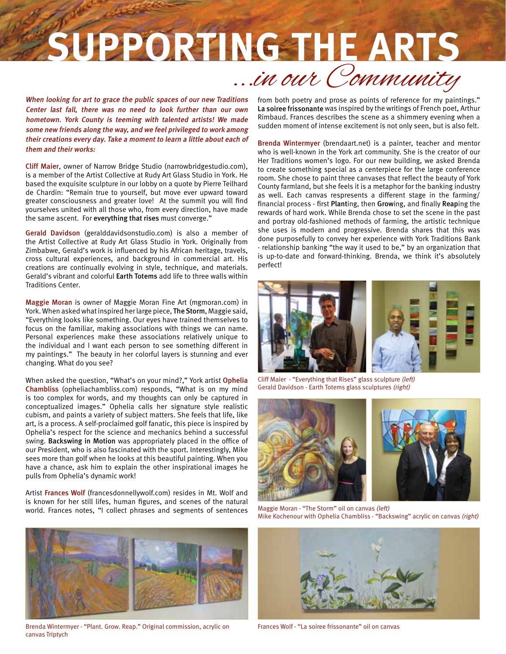# **SUPPORTING THE ARTS** ...in our Community

When looking for art to grace the public spaces of our new Traditions Center last fall, there was no need to look further than our own hometown. York County is teeming with talented artists! We made some new friends along the way, and we feel privileged to work among their creations every day. Take a moment to learn a little about each of them and their works:

Cliff Maier, owner of Narrow Bridge Studio (narrowbridgestudio.com), is a member of the Artist Collective at Rudy Art Glass Studio in York. He based the exquisite sculpture in our lobby on a quote by Pierre Teilhard de Chardin: "Remain true to yourself, but move ever upward toward greater consciousness and greater love! At the summit you will find yourselves united with all those who, from every direction, have made the same ascent. For everything that rises must converge."

Gerald Davidson (geralddavidsonstudio.com) is also a member of the Artist Collective at Rudy Art Glass Studio in York. Originally from Zimbabwe, Gerald's work is influenced by his African heritage, travels, cross cultural experiences, and background in commercial art. His creations are continually evolving in style, technique, and materials. Gerald's vibrant and colorful Earth Totems add life to three walls within Traditions Center.

Maggie Moran is owner of Maggie Moran Fine Art (mgmoran.com) in York. When asked what inspired her large piece, The Storm, Maggie said, "Everything looks like something. Our eyes have trained themselves to focus on the familiar, making associations with things we can name. Personal experiences make these associations relatively unique to the individual and I want each person to see something different in my paintings." The beauty in her colorful layers is stunning and ever changing. What do you see?

When asked the question, "What's on your mind?," York artist Ophelia Chambliss (opheliachambliss.com) responds, "What is on my mind is too complex for words, and my thoughts can only be captured in conceptualized images." Ophelia calls her signature style realistic cubism, and paints a variety of subject matters. She feels that life, like art, is a process. A self-proclaimed golf fanatic, this piece is inspired by Ophelia's respect for the science and mechanics behind a successful swing. Backswing in Motion was appropriately placed in the office of our President, who is also fascinated with the sport. Interestingly, Mike sees more than golf when he looks at this beautiful painting. When you have a chance, ask him to explain the other inspirational images he pulls from Ophelia's dynamic work!

Artist Frances Wolf (francesdonnellywolf.com) resides in Mt. Wolf and is known for her still lifes, human figures, and scenes of the natural world. Frances notes, "I collect phrases and segments of sentences



Brenda Wintermyer - "Plant. Grow. Reap." Original commission, acrylic on canvas Triptych

from both poetry and prose as points of reference for my paintings." La soiree frissonante was inspired by the writings of French poet, Arthur Rimbaud. Frances describes the scene as a shimmery evening when a sudden moment of intense excitement is not only seen, but is also felt.

Brenda Wintermyer (brendaart.net) is a painter, teacher and mentor who is well-known in the York art community. She is the creator of our Her Traditions women's logo. For our new building, we asked Brenda to create something special as a centerpiece for the large conference room. She chose to paint three canvases that reflect the beauty of York County farmland, but she feels it is a metaphor for the banking industry as well. Each canvas respresents a different stage in the farming/ financial process - first Planting, then Growing, and finally Reaping the rewards of hard work. While Brenda chose to set the scene in the past and portray old-fashioned methods of farming, the artistic technique she uses is modern and progressive. Brenda shares that this was done purposefully to convey her experience with York Traditions Bank - relationship banking "the way it used to be," by an organization that is up-to-date and forward-thinking. Brenda, we think it's absolutely perfect!



Cliff Maier - "Everything that Rises" glass sculpture (left) Gerald Davidson - Earth Totems glass sculptures (right)



Maggie Moran - "The Storm" oil on canvas (left) Mike Kochenour with Ophelia Chambliss - "Backswing" acrylic on canvas (right)



Frances Wolf - "La soiree frissonante" oil on canvas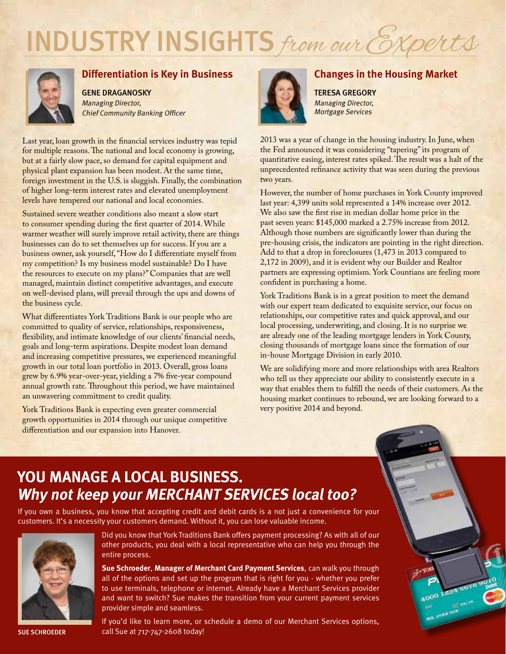# INDUSTRY INSIGHTS from our Experts



## **Differentiation is Key in Business**

Gene Draganosky Managing Director, Chief Community Banking Officer

Last year, loan growth in the financial services industry was tepid for multiple reasons. The national and local economy is growing, but at a fairly slow pace, so demand for capital equipment and physical plant expansion has been modest. At the same time, foreign investment in the U.S. is sluggish. Finally, the combination of higher long-term interest rates and elevated unemployment levels have tempered our national and local economies.

Sustained severe weather conditions also meant a slow start to consumer spending during the first quarter of 2014. While warmer weather will surely improve retail activity, there are things businesses can do to set themselves up for success. If you are a business owner, ask yourself, "How do I differentiate myself from my competition? Is my business model sustainable? Do I have the resources to execute on my plans?" Companies that are well managed, maintain distinct competitive advantages, and execute on well-devised plans, will prevail through the ups and downs of the business cycle.

What differentiates York Traditions Bank is our people who are committed to quality of service, relationships, responsiveness, flexibility, and intimate knowledge of our clients' financial needs, goals and long-term aspirations. Despite modest loan demand and increasing competitive pressures, we experienced meaningful growth in our total loan portfolio in 2013. Overall, gross loans grew by 6.9% year-over-year, yielding a 7% five-year compound annual growth rate. Throughout this period, we have maintained an unwavering commitment to credit quality.

York Traditions Bank is expecting even greater commercial growth opportunities in 2014 through our unique competitive differentiation and our expansion into Hanover.



## **Changes in the Housing Market**

Teresa Gregory Managing Director, Mortgage Services

2013 was a year of change in the housing industry. In June, when the Fed announced it was considering "tapering" its program of quantitative easing, interest rates spiked. The result was a halt of the unprecedented refinance activity that was seen during the previous two years.

However, the number of home purchases in York County improved last year: 4,399 units sold represented a 14% increase over 2012. We also saw the first rise in median dollar home price in the past seven years: \$145,000 marked a 2.75% increase from 2012. Although those numbers are significantly lower than during the pre-housing crisis, the indicators are pointing in the right direction. Add to that a drop in foreclosures (1,473 in 2013 compared to 2,172 in 2009), and it is evident why our Builder and Realtor partners are expressing optimism. York Countians are feeling more confident in purchasing a home.

York Traditions Bank is in a great position to meet the demand with our expert team dedicated to exquisite service, our focus on relationships, our competitive rates and quick approval, and our local processing, underwriting, and closing. It is no surprise we are already one of the leading mortgage lenders in York County, closing thousands of mortgage loans since the formation of our in-house Mortgage Division in early 2010.

We are solidifying more and more relationships with area Realtors who tell us they appreciate our ability to consistently execute in a way that enables them to fulfill the needs of their customers. As the housing market continues to rebound, we are looking forward to a very positive 2014 and beyond.

# **You manage a local business. Why not keep your MERCHANT SERVICES local too?**

If you own a business, you know that accepting credit and debit cards is a not just a convenience for your customers. It's a necessity your customers demand. Without it, you can lose valuable income.



Did you know that York Traditions Bank offers payment processing? As with all of our other products, you deal with a local representative who can help you through the entire process.

**Sue Schroeder**, **Manager of Merchant Card Payment Services**, can walk you through all of the options and set up the program that is right for you - whether you prefer to use terminals, telephone or internet. Already have a Merchant Services provider and want to switch? Sue makes the transition from your current payment services provider simple and seamless.

If you'd like to learn more, or schedule a demo of our Merchant Services options, SUE SCHROEDER call Sue at 717-747-2608 today!